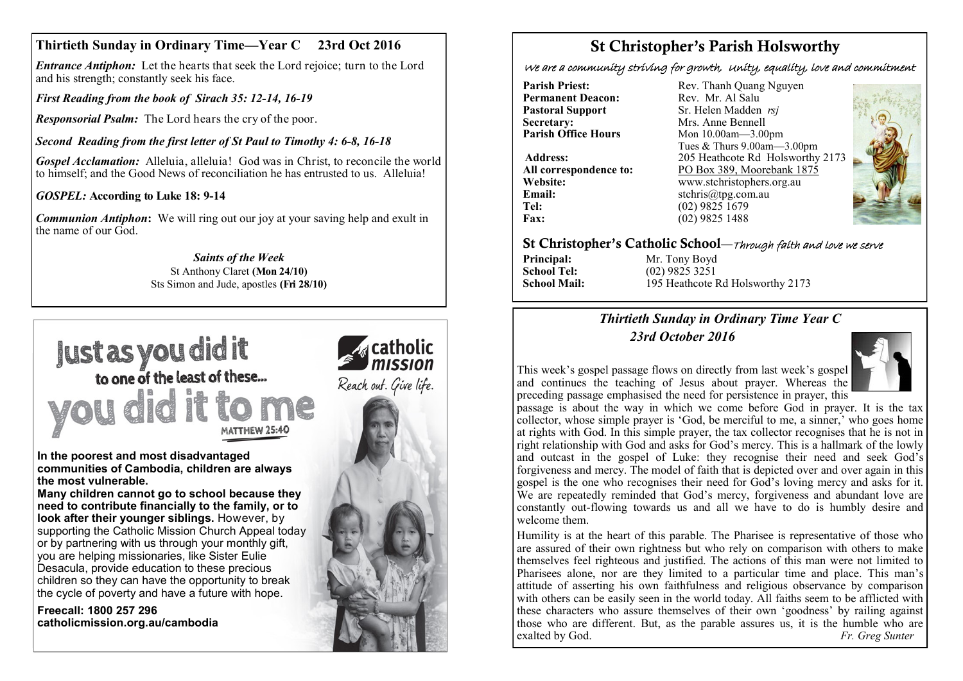# **Thirtieth Sunday in Ordinary Time—Year C 23rd Oct 2016**

*Entrance Antiphon:* Let the hearts that seek the Lord rejoice; turn to the Lord and his strength; constantly seek his face.

*First Reading from the book of Sirach 35: 12-14, 16-19*

*Responsorial Psalm:* The Lord hears the cry of the poor.

*Second Reading from the first letter of St Paul to Timothy 4: 6-8, 16-18*

*Gospel Acclamation:* Alleluia, alleluia! God was in Christ, to reconcile the world to himself; and the Good News of reconciliation he has entrusted to us. Alleluia!

### *GOSPEL:* **According to Luke 18: 9-14**

*Communion Antiphon***:** We will ring out our joy at your saving help and exult in the name of our God.

> *Saints of the Week* St Anthony Claret **(Mon 24/10)**  Sts Simon and Jude, apostles **(Fri 28/10)**



**In the poorest and most disadvantaged communities of Cambodia, children are always the most vulnerable.**

**Many children cannot go to school because they need to contribute financially to the family, or to look after their younger siblings.** However, by supporting the Catholic Mission Church Appeal today or by partnering with us through your monthly gift, you are helping missionaries, like Sister Eulie Desacula, provide education to these precious children so they can have the opportunity to break the cycle of poverty and have a future with hope.

**Freecall: 1800 257 296 catholicmission.org.au/cambodia**



# St Christopher's Parish Holsworthy

We are a community striving for growth, Unity, equality, love and commitment

**Permanent Deacon:**<br>**Pastoral Support Secretary:** Mrs. Anne Bennell<br> **Parish Office Hours** Mon 10 00am - 3 00

**Email:** stchris@tpg.com.au<br> **Tel:** (02) 9825 1679 **Tel:** (02) 9825 1679<br>**Fax:** (02) 9825 1488

**Parish Priest:** Rev. Thanh Quang Nguyen<br> **Permanent Deacon:** Rev. Mr. Al Salu **Pastoral Support** Sr. Helen Madden *rsj*<br>
Secretary: Mrs. Anne Bennell **Mon 10.00am—3.00pm** Tues & Thurs 9.00am—3.00pm Address: 205 Heathcote Rd Holsworthy 2173<br>**All correspondence to:** PO Box 389, Moorebank 1875 PO Box 389, Moorebank 1875 **Website:** www.stchristophers.org.au<br> **Email:** stchris@tng.com au **Fax:** (02) 9825 1488



#### St Christopher's Catholic School—Through faith and love we serve

**Principal:** Mr. Tony Boyd<br> **School Tel:** (02) 9825 3251

**School Tel:** (02) 9825 3251<br> **School Mail:** 195 Heathcote F 195 Heathcote Rd Holsworthy 2173

### *Thirtieth Sunday in Ordinary Time Year C 23rd October 2016*



This week's gospel passage flows on directly from last week's gospel and continues the teaching of Jesus about prayer. Whereas the preceding passage emphasised the need for persistence in prayer, this

passage is about the way in which we come before God in prayer. It is the tax collector, whose simple prayer is 'God, be merciful to me, a sinner,' who goes home at rights with God. In this simple prayer, the tax collector recognises that he is not in right relationship with God and asks for God's mercy. This is a hallmark of the lowly and outcast in the gospel of Luke: they recognise their need and seek God's forgiveness and mercy. The model of faith that is depicted over and over again in this gospel is the one who recognises their need for God's loving mercy and asks for it. We are repeatedly reminded that God's mercy, forgiveness and abundant love are constantly out-flowing towards us and all we have to do is humbly desire and welcome them.

Humility is at the heart of this parable. The Pharisee is representative of those who are assured of their own rightness but who rely on comparison with others to make themselves feel righteous and justified. The actions of this man were not limited to Pharisees alone, nor are they limited to a particular time and place. This man's attitude of asserting his own faithfulness and religious observance by comparison with others can be easily seen in the world today. All faiths seem to be afflicted with these characters who assure themselves of their own 'goodness' by railing against those who are different. But, as the parable assures us, it is the humble who are exalted by God. *Fr. Greg Sunter*